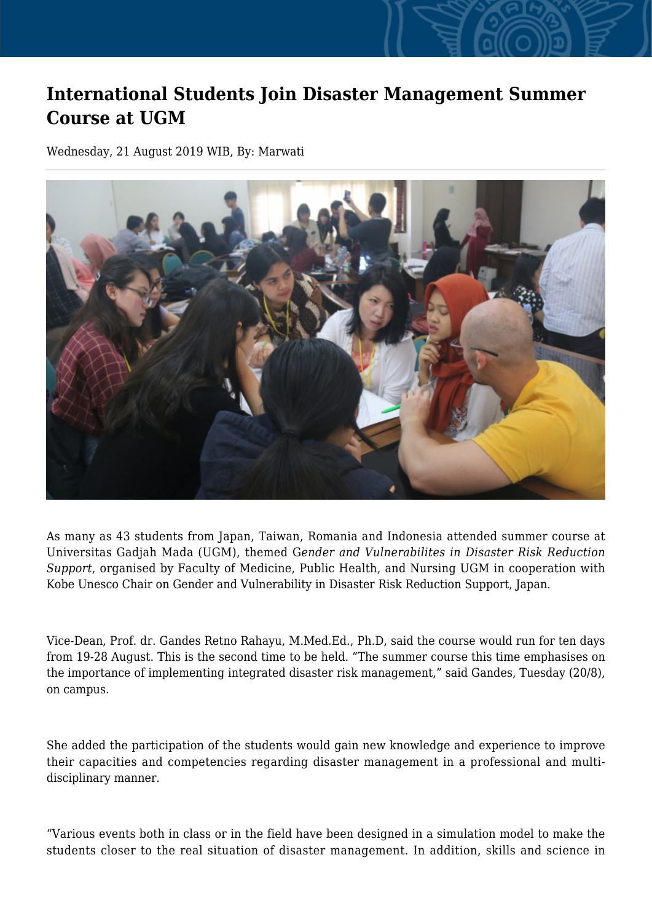## **International Students Join Disaster Management Summer Course at UGM**

Wednesday, 21 August 2019 WIB, By: Marwati



As many as 43 students from Japan, Taiwan, Romania and Indonesia attended summer course at Universitas Gadjah Mada (UGM), themed G*ender and Vulnerabilites in Disaster Risk Reduction Support*, organised by Faculty of Medicine, Public Health, and Nursing UGM in cooperation with Kobe Unesco Chair on Gender and Vulnerability in Disaster Risk Reduction Support, Japan.

Vice-Dean, Prof. dr. Gandes Retno Rahayu, M.Med.Ed., Ph.D, said the course would run for ten days from 19-28 August. This is the second time to be held. "The summer course this time emphasises on the importance of implementing integrated disaster risk management," said Gandes, Tuesday (20/8), on campus.

She added the participation of the students would gain new knowledge and experience to improve their capacities and competencies regarding disaster management in a professional and multidisciplinary manner.

"Various events both in class or in the field have been designed in a simulation model to make the students closer to the real situation of disaster management. In addition, skills and science in